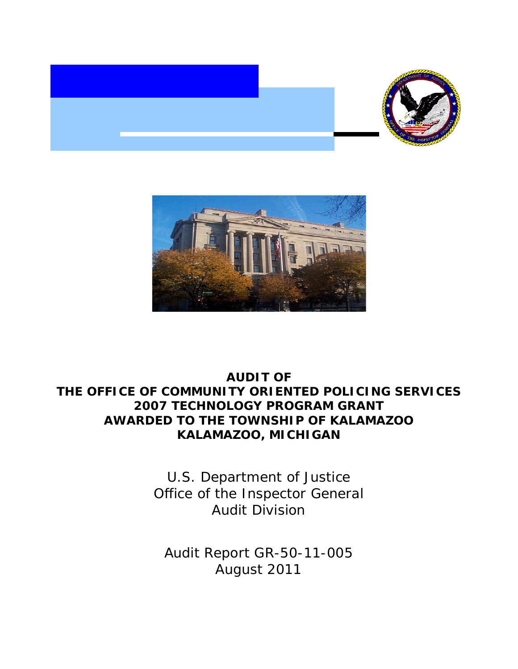



# **AUDIT OF THE OFFICE OF COMMUNITY ORIENTED POLICING SERVICES 2007 TECHNOLOGY PROGRAM GRANT AWARDED TO THE TOWNSHIP OF KALAMAZOO KALAMAZOO, MICHIGAN**

U.S. Department of Justice Office of the Inspector General Audit Division

Audit Report GR-50-11-005 August 2011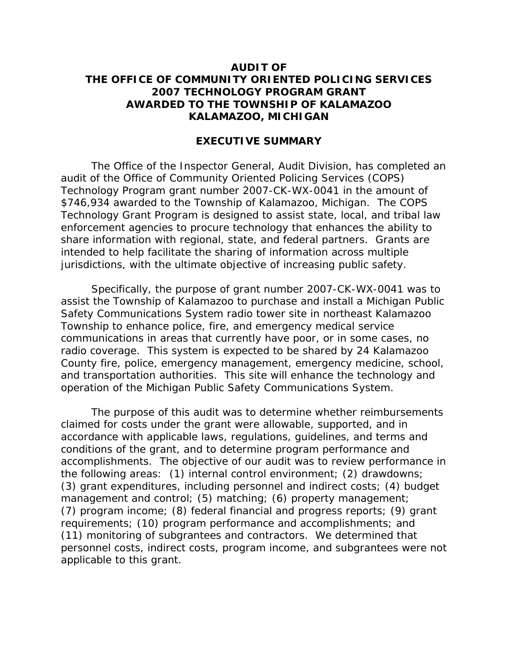## **AUDIT OF THE OFFICE OF COMMUNITY ORIENTED POLICING SERVICES 2007 TECHNOLOGY PROGRAM GRANT AWARDED TO THE TOWNSHIP OF KALAMAZOO KALAMAZOO, MICHIGAN**

## **EXECUTIVE SUMMARY**

The Office of the Inspector General, Audit Division, has completed an audit of the Office of Community Oriented Policing Services (COPS) Technology Program grant number 2007-CK-WX-0041 in the amount of \$746,934 awarded to the Township of Kalamazoo, Michigan. The COPS Technology Grant Program is designed to assist state, local, and tribal law enforcement agencies to procure technology that enhances the ability to share information with regional, state, and federal partners. Grants are intended to help facilitate the sharing of information across multiple jurisdictions, with the ultimate objective of increasing public safety.

Specifically, the purpose of grant number 2007-CK-WX-0041 was to assist the Township of Kalamazoo to purchase and install a Michigan Public Safety Communications System radio tower site in northeast Kalamazoo Township to enhance police, fire, and emergency medical service communications in areas that currently have poor, or in some cases, no radio coverage. This system is expected to be shared by 24 Kalamazoo County fire, police, emergency management, emergency medicine, school, and transportation authorities. This site will enhance the technology and operation of the Michigan Public Safety Communications System.

The purpose of this audit was to determine whether reimbursements claimed for costs under the grant were allowable, supported, and in accordance with applicable laws, regulations, guidelines, and terms and conditions of the grant, and to determine program performance and accomplishments. The objective of our audit was to review performance in the following areas: (1) internal control environment; (2) drawdowns; (3) grant expenditures, including personnel and indirect costs; (4) budget management and control; (5) matching; (6) property management; (7) program income; (8) federal financial and progress reports; (9) grant requirements; (10) program performance and accomplishments; and (11) monitoring of subgrantees and contractors. We determined that personnel costs, indirect costs, program income, and subgrantees were not applicable to this grant.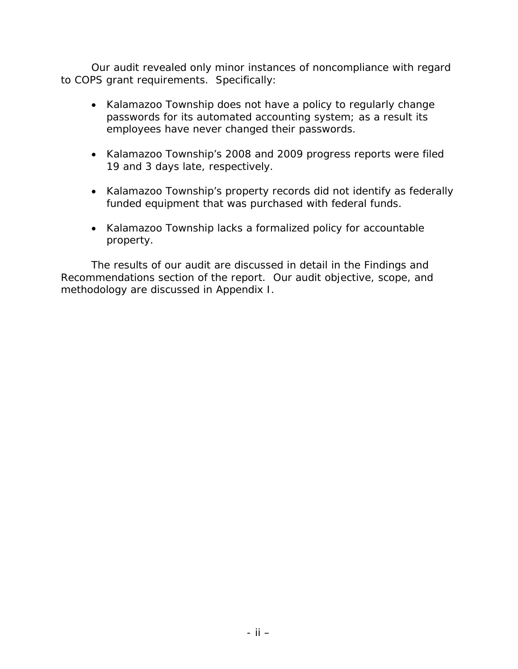Our audit revealed only minor instances of noncompliance with regard to COPS grant requirements. Specifically:

- Kalamazoo Township does not have a policy to regularly change passwords for its automated accounting system; as a result its employees have never changed their passwords.
- Kalamazoo Township's 2008 and 2009 progress reports were filed 19 and 3 days late, respectively.
- Kalamazoo Township's property records did not identify as federally funded equipment that was purchased with federal funds.
- Kalamazoo Township lacks a formalized policy for accountable property.

The results of our audit are discussed in detail in the Findings and Recommendations section of the report. Our audit objective, scope, and methodology are discussed in Appendix I.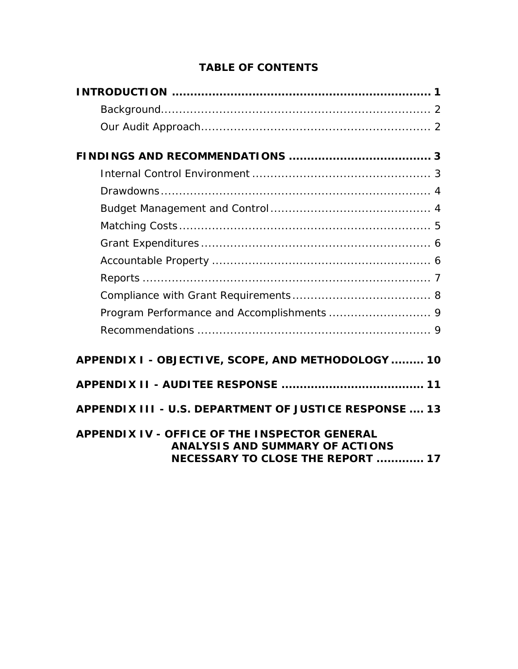# **TABLE OF CONTENTS**

| APPENDIX I - OBJECTIVE, SCOPE, AND METHODOLOGY  10                                                                                         |
|--------------------------------------------------------------------------------------------------------------------------------------------|
|                                                                                                                                            |
| APPENDIX III - U.S. DEPARTMENT OF JUSTICE RESPONSE  13                                                                                     |
| <b>APPENDIX IV - OFFICE OF THE INSPECTOR GENERAL</b><br><b>ANALYSIS AND SUMMARY OF ACTIONS</b><br><b>NECESSARY TO CLOSE THE REPORT  17</b> |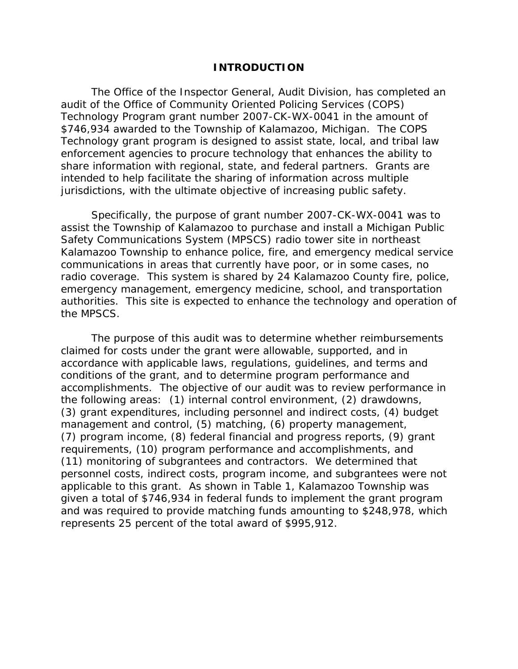## **INTRODUCTION**

The Office of the Inspector General, Audit Division, has completed an audit of the Office of Community Oriented Policing Services (COPS) Technology Program grant number 2007-CK-WX-0041 in the amount of \$746,934 awarded to the Township of Kalamazoo, Michigan. The COPS Technology grant program is designed to assist state, local, and tribal law enforcement agencies to procure technology that enhances the ability to share information with regional, state, and federal partners. Grants are intended to help facilitate the sharing of information across multiple jurisdictions, with the ultimate objective of increasing public safety.

Specifically, the purpose of grant number 2007-CK-WX-0041 was to assist the Township of Kalamazoo to purchase and install a Michigan Public Safety Communications System (MPSCS) radio tower site in northeast Kalamazoo Township to enhance police, fire, and emergency medical service communications in areas that currently have poor, or in some cases, no radio coverage. This system is shared by 24 Kalamazoo County fire, police, emergency management, emergency medicine, school, and transportation authorities. This site is expected to enhance the technology and operation of the MPSCS.

The purpose of this audit was to determine whether reimbursements claimed for costs under the grant were allowable, supported, and in accordance with applicable laws, regulations, guidelines, and terms and conditions of the grant, and to determine program performance and accomplishments. The objective of our audit was to review performance in the following areas: (1) internal control environment, (2) drawdowns, (3) grant expenditures, including personnel and indirect costs, (4) budget management and control, (5) matching, (6) property management, (7) program income, (8) federal financial and progress reports, (9) grant requirements, (10) program performance and accomplishments, and (11) monitoring of subgrantees and contractors. We determined that personnel costs, indirect costs, program income, and subgrantees were not applicable to this grant. As shown in Table 1, Kalamazoo Township was given a total of \$746,934 in federal funds to implement the grant program and was required to provide matching funds amounting to \$248,978, which represents 25 percent of the total award of \$995,912.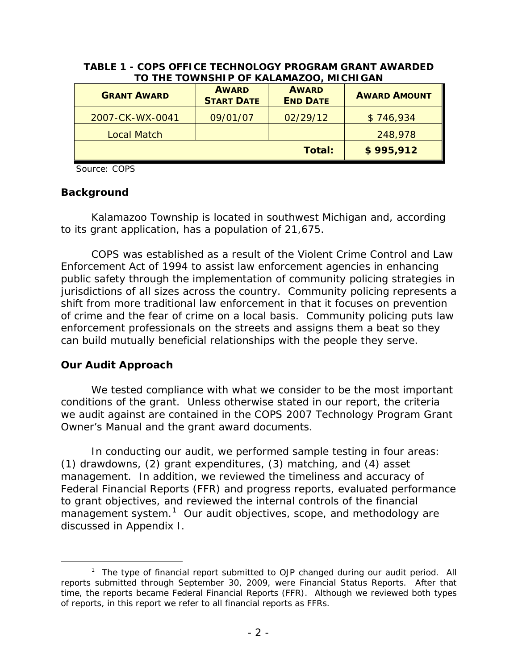| <b>GRANT AWARD</b> | <b>AWARD</b><br><b>START DATE</b> | <b>AWARD</b><br><b>END DATE</b> | <b>AWARD AMOUNT</b> |
|--------------------|-----------------------------------|---------------------------------|---------------------|
| 2007-CK-WX-0041    | 09/01/07                          | 02/29/12                        | \$746,934           |
| <b>Local Match</b> |                                   |                                 | 248,978             |
|                    |                                   | Total:                          | \$995,912           |

## **TABLE 1 - COPS OFFICE TECHNOLOGY PROGRAM GRANT AWARDED TO THE TOWNSHIP OF KALAMAZOO, MICHIGAN**

Source: COPS

## **Background**

Kalamazoo Township is located in southwest Michigan and, according to its grant application, has a population of 21,675.

COPS was established as a result of the Violent Crime Control and Law Enforcement Act of 1994 to assist law enforcement agencies in enhancing public safety through the implementation of community policing strategies in jurisdictions of all sizes across the country. Community policing represents a shift from more traditional law enforcement in that it focuses on prevention of crime and the fear of crime on a local basis. Community policing puts law enforcement professionals on the streets and assigns them a beat so they can build mutually beneficial relationships with the people they serve.

## **Our Audit Approach**

We tested compliance with what we consider to be the most important conditions of the grant. Unless otherwise stated in our report, the criteria we audit against are contained in the *COPS 2007 Technology Program Grant Owner's Manual* and the grant award documents.

In conducting our audit, we performed sample testing in four areas: (1) drawdowns, (2) grant expenditures, (3) matching, and (4) asset management. In addition, we reviewed the timeliness and accuracy of Federal Financial Reports (FFR) and progress reports, evaluated performance to grant objectives, and reviewed the internal controls of the financial management system.<sup>[1](#page-5-0)</sup> Our audit objectives, scope, and methodology are discussed in Appendix I.

<span id="page-5-0"></span> <sup>1</sup>  $1$  The type of financial report submitted to OJP changed during our audit period. All reports submitted through September 30, 2009, were Financial Status Reports. After that time, the reports became Federal Financial Reports (FFR). Although we reviewed both types of reports, in this report we refer to all financial reports as FFRs.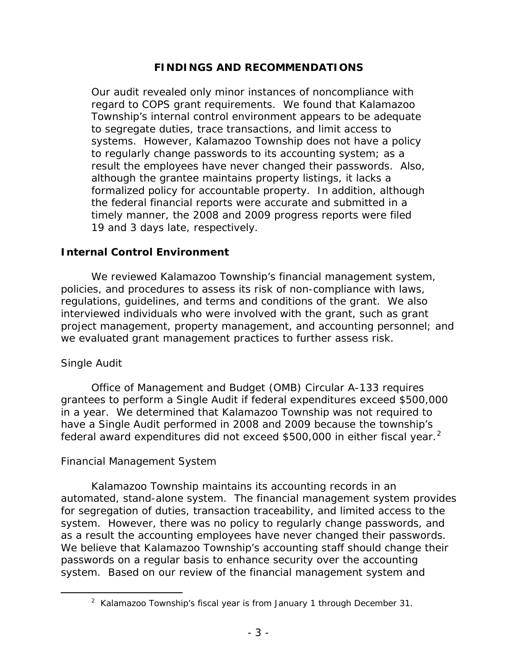# **FINDINGS AND RECOMMENDATIONS**

Our audit revealed only minor instances of noncompliance with regard to COPS grant requirements. We found that Kalamazoo Township's internal control environment appears to be adequate to segregate duties, trace transactions, and limit access to systems. However, Kalamazoo Township does not have a policy to regularly change passwords to its accounting system; as a result the employees have never changed their passwords. Also, although the grantee maintains property listings, it lacks a formalized policy for accountable property. In addition, although the federal financial reports were accurate and submitted in a timely manner, the 2008 and 2009 progress reports were filed 19 and 3 days late, respectively.

## **Internal Control Environment**

We reviewed Kalamazoo Township's financial management system, policies, and procedures to assess its risk of non-compliance with laws, regulations, guidelines, and terms and conditions of the grant. We also interviewed individuals who were involved with the grant, such as grant project management, property management, and accounting personnel; and we evaluated grant management practices to further assess risk.

# *Single Audit*

Office of Management and Budget (OMB) Circular A-133 requires grantees to perform a Single Audit if federal expenditures exceed \$500,000 in a year. We determined that Kalamazoo Township was not required to have a Single Audit performed in 2008 and 2009 because the township's federal award expenditures did not exceed \$500,000 in either fiscal year.<sup>[2](#page-6-0)</sup>

# *Financial Management System*

Kalamazoo Township maintains its accounting records in an automated, stand-alone system. The financial management system provides for segregation of duties, transaction traceability, and limited access to the system. However, there was no policy to regularly change passwords, and as a result the accounting employees have never changed their passwords. We believe that Kalamazoo Township's accounting staff should change their passwords on a regular basis to enhance security over the accounting system. Based on our review of the financial management system and

<span id="page-6-0"></span> $\overline{\phantom{a}}$  2  $2$  Kalamazoo Township's fiscal year is from January 1 through December 31.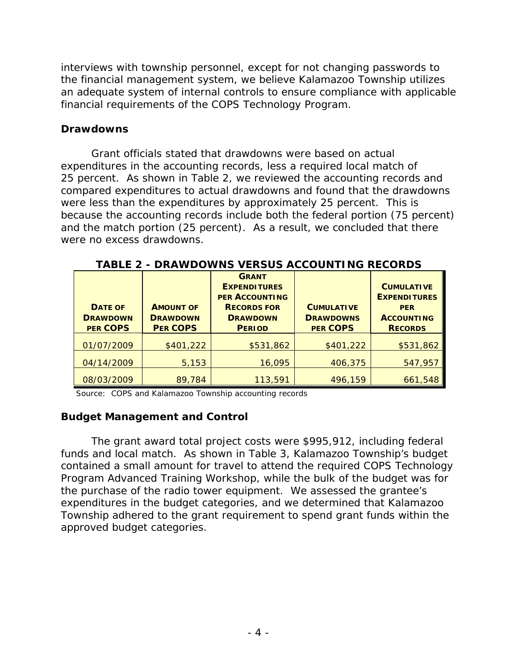interviews with township personnel, except for not changing passwords to the financial management system, we believe Kalamazoo Township utilizes an adequate system of internal controls to ensure compliance with applicable financial requirements of the COPS Technology Program.

## **Drawdowns**

Grant officials stated that drawdowns were based on actual expenditures in the accounting records, less a required local match of 25 percent. As shown in Table 2, we reviewed the accounting records and compared expenditures to actual drawdowns and found that the drawdowns were less than the expenditures by approximately 25 percent. This is because the accounting records include both the federal portion (75 percent) and the match portion (25 percent). As a result, we concluded that there were no excess drawdowns.

| DOWNJ VLRJUJ AUUUUN I INU RLUURDJ                    |                                                        |                                                                                                                        |                                                          |                                                                                               |
|------------------------------------------------------|--------------------------------------------------------|------------------------------------------------------------------------------------------------------------------------|----------------------------------------------------------|-----------------------------------------------------------------------------------------------|
| <b>DATE OF</b><br><b>DRAWDOWN</b><br><b>PER COPS</b> | <b>AMOUNT OF</b><br><b>DRAWDOWN</b><br><b>PER COPS</b> | <b>GRANT</b><br><b>EXPENDITURES</b><br><b>PER ACCOUNTING</b><br><b>RECORDS FOR</b><br><b>DRAWDOWN</b><br><b>PERIOD</b> | <b>CUMULATIVE</b><br><b>DRAWDOWNS</b><br><b>PER COPS</b> | <b>CUMULATIVE</b><br><b>EXPENDITURES</b><br><b>PER</b><br><b>ACCOUNTING</b><br><b>RECORDS</b> |
| 01/07/2009                                           | \$401,222                                              | \$531,862                                                                                                              | \$401,222                                                | \$531,862                                                                                     |
| 04/14/2009                                           | 5,153                                                  | 16,095                                                                                                                 | 406,375                                                  | 547,957                                                                                       |
| 08/03/2009                                           | 89,784                                                 | 113,591                                                                                                                | 496,159                                                  | 661,548                                                                                       |

**TABLE 2 - DRAWDOWNS VERSUS ACCOUNTING RECORDS**

Source: COPS and Kalamazoo Township accounting records

# **Budget Management and Control**

The grant award total project costs were \$995,912, including federal funds and local match. As shown in Table 3, Kalamazoo Township's budget contained a small amount for travel to attend the required COPS Technology Program Advanced Training Workshop, while the bulk of the budget was for the purchase of the radio tower equipment. We assessed the grantee's expenditures in the budget categories, and we determined that Kalamazoo Township adhered to the grant requirement to spend grant funds within the approved budget categories.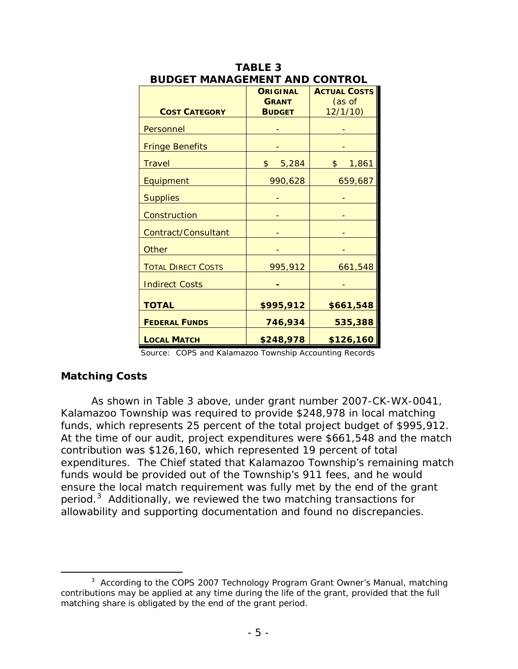|                           | <b>ORIGINAL</b> | <b>ACTUAL COSTS</b>    |
|---------------------------|-----------------|------------------------|
|                           | <b>GRANT</b>    | (as of                 |
| <b>COST CATEGORY</b>      | <b>BUDGET</b>   | 12/1/10                |
| Personnel                 |                 |                        |
| <b>Fringe Benefits</b>    |                 |                        |
| <b>Travel</b>             | \$<br>5,284     | $\frac{1}{2}$<br>1,861 |
| Equipment                 | 990,628         | 659,687                |
| <b>Supplies</b>           |                 |                        |
| Construction              |                 |                        |
| Contract/Consultant       |                 |                        |
| <b>Other</b>              |                 |                        |
| <b>TOTAL DIRECT COSTS</b> | 995,912         | 661,548                |
| <b>Indirect Costs</b>     |                 |                        |
| <b>TOTAL</b>              | \$995,912       | \$661,548              |
| <b>FEDERAL FUNDS</b>      | 746,934         | 535,388                |
| <b>LOCAL MATCH</b>        | \$248,978       | \$126,160              |

| <b>TABLE 3</b>                       |
|--------------------------------------|
| <b>BUDGET MANAGEMENT AND CONTROL</b> |

## **Matching Costs**

As shown in Table 3 above, under grant number 2007-CK-WX-0041, Kalamazoo Township was required to provide \$248,978 in local matching funds, which represents 25 percent of the total project budget of \$995,912. At the time of our audit, project expenditures were \$661,548 and the match contribution was \$126,160, which represented 19 percent of total expenditures. The Chief stated that Kalamazoo Township's remaining match funds would be provided out of the Township's 911 fees, and he would ensure the local match requirement was fully met by the end of the grant period.<sup>[3](#page-8-0)</sup> Additionally, we reviewed the two matching transactions for allowability and supporting documentation and found no discrepancies.

Source: COPS and Kalamazoo Township Accounting Records

<span id="page-8-0"></span> $\frac{1}{3}$ <sup>3</sup> According to the *COPS 2007 Technology Program Grant Owner's Manual*, matching contributions may be applied at any time during the life of the grant, provided that the full matching share is obligated by the end of the grant period.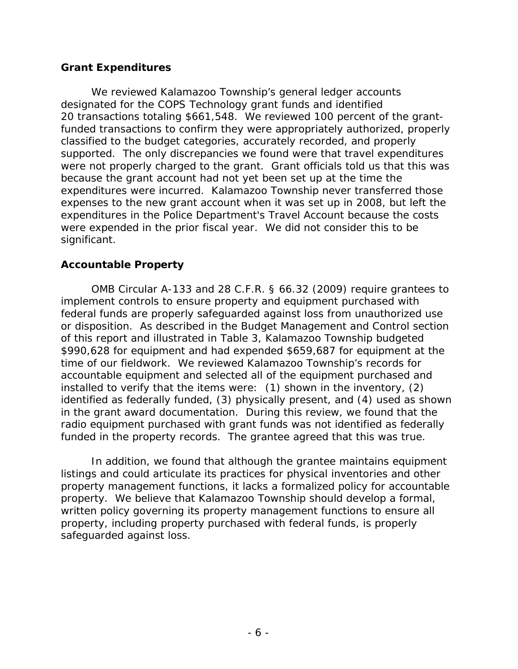## **Grant Expenditures**

We reviewed Kalamazoo Township's general ledger accounts designated for the COPS Technology grant funds and identified 20 transactions totaling \$661,548. We reviewed 100 percent of the grantfunded transactions to confirm they were appropriately authorized, properly classified to the budget categories, accurately recorded, and properly supported. The only discrepancies we found were that travel expenditures were not properly charged to the grant. Grant officials told us that this was because the grant account had not yet been set up at the time the expenditures were incurred. Kalamazoo Township never transferred those expenses to the new grant account when it was set up in 2008, but left the expenditures in the Police Department's Travel Account because the costs were expended in the prior fiscal year. We did not consider this to be significant.

# **Accountable Property**

OMB Circular A-133 and 28 C.F.R. § 66.32 (2009) require grantees to implement controls to ensure property and equipment purchased with federal funds are properly safeguarded against loss from unauthorized use or disposition. As described in the Budget Management and Control section of this report and illustrated in Table 3, Kalamazoo Township budgeted \$990,628 for equipment and had expended \$659,687 for equipment at the time of our fieldwork. We reviewed Kalamazoo Township's records for accountable equipment and selected all of the equipment purchased and installed to verify that the items were: (1) shown in the inventory, (2) identified as federally funded, (3) physically present, and (4) used as shown in the grant award documentation. During this review, we found that the radio equipment purchased with grant funds was not identified as federally funded in the property records. The grantee agreed that this was true.

In addition, we found that although the grantee maintains equipment listings and could articulate its practices for physical inventories and other property management functions, it lacks a formalized policy for accountable property. We believe that Kalamazoo Township should develop a formal, written policy governing its property management functions to ensure all property, including property purchased with federal funds, is properly safeguarded against loss.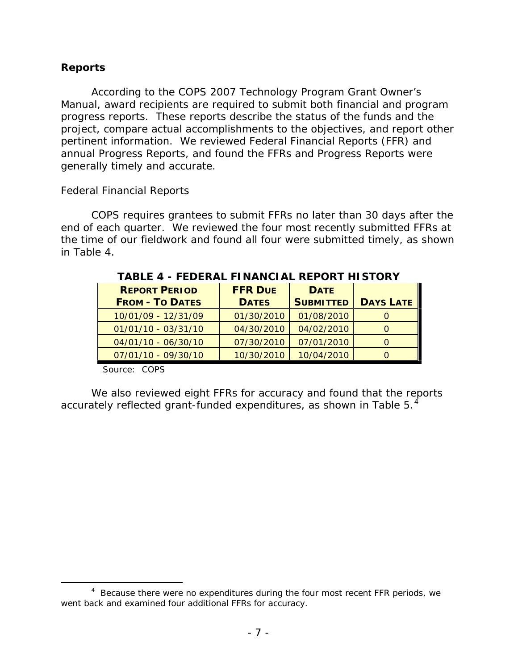# **Reports**

According to the *COPS 2007 Technology Program Grant Owner's Manual*, award recipients are required to submit both financial and program progress reports. These reports describe the status of the funds and the project, compare actual accomplishments to the objectives, and report other pertinent information. We reviewed Federal Financial Reports (FFR) and annual Progress Reports, and found the FFRs and Progress Reports were generally timely and accurate.

## *Federal Financial Reports*

COPS requires grantees to submit FFRs no later than 30 days after the end of each quarter. We reviewed the four most recently submitted FFRs at the time of our fieldwork and found all four were submitted timely, as shown in Table 4.

| <b>REPORT PERIOD</b>   | <b>FFR DUE</b> | <b>DATE</b>      |                  |
|------------------------|----------------|------------------|------------------|
| <b>FROM - TO DATES</b> | <b>DATES</b>   | <b>SUBMITTED</b> | <b>DAYS LATE</b> |
| 10/01/09 - 12/31/09    | 01/30/2010     | 01/08/2010       |                  |
| $01/01/10 - 03/31/10$  | 04/30/2010     | 04/02/2010       |                  |
| 04/01/10 - 06/30/10    | 07/30/2010     | 07/01/2010       |                  |
| 07/01/10 - 09/30/10    | 10/30/2010     | 10/04/2010       |                  |

**TABLE 4 - FEDERAL FINANCIAL REPORT HISTORY**

Source: COPS

We also reviewed eight FFRs for accuracy and found that the reports accurately reflected grant-funded expenditures, as shown in Table  $5.^4$  $5.^4$ 

<span id="page-10-0"></span> $\overline{4}$  $4$  Because there were no expenditures during the four most recent FFR periods, we went back and examined four additional FFRs for accuracy.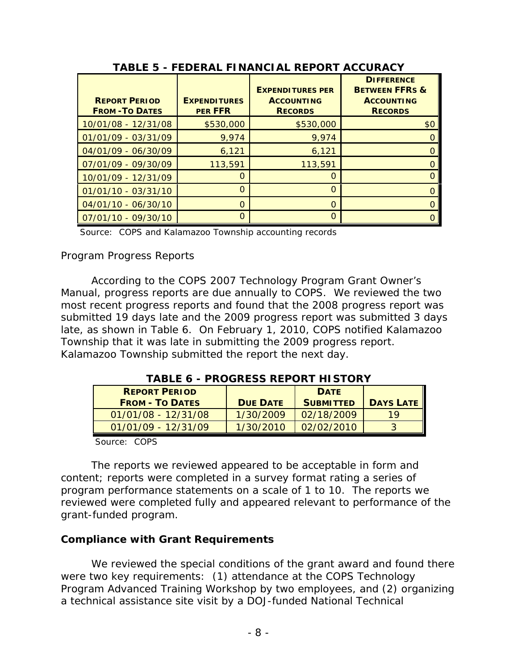| <b>REPORT PERIOD</b><br><b>FROM-TO DATES</b> | <b>EXPENDITURES</b><br><b>PER FFR</b> | <b>EXPENDITURES PER</b><br><b>ACCOUNTING</b><br><b>RECORDS</b> | <b>DIFFERENCE</b><br><b>BETWEEN FFRS &amp;</b><br><b>ACCOUNTING</b><br><b>RECORDS</b> |
|----------------------------------------------|---------------------------------------|----------------------------------------------------------------|---------------------------------------------------------------------------------------|
| 10/01/08 - 12/31/08                          | \$530,000                             | \$530,000                                                      | \$0                                                                                   |
| 01/01/09 - 03/31/09                          | 9,974                                 | 9,974                                                          |                                                                                       |
| 04/01/09 - 06/30/09                          | 6,121                                 | 6,121                                                          |                                                                                       |
| 07/01/09 - 09/30/09                          | 113,591                               | 113,591                                                        |                                                                                       |
| 10/01/09 - 12/31/09                          | $\Omega$                              | $\Omega$                                                       |                                                                                       |
| 01/01/10 - 03/31/10                          | $\Omega$                              | $\Omega$                                                       |                                                                                       |
| 04/01/10 - 06/30/10                          | O                                     | $\Omega$                                                       |                                                                                       |
| 07/01/10 - 09/30/10                          | $\Omega$                              | ∩                                                              |                                                                                       |

**TABLE 5 - FEDERAL FINANCIAL REPORT ACCURACY**

Source: COPS and Kalamazoo Township accounting records

# *Program Progress Reports*

According to the *COPS 2007 Technology Program Grant Owner's Manual*, progress reports are due annually to COPS. We reviewed the two most recent progress reports and found that the 2008 progress report was submitted 19 days late and the 2009 progress report was submitted 3 days late, as shown in Table 6. On February 1, 2010, COPS notified Kalamazoo Township that it was late in submitting the 2009 progress report. Kalamazoo Township submitted the report the next day.

| IADLL 0 - FROGRESS REFORT I II STORT |                 |                  |                  |
|--------------------------------------|-----------------|------------------|------------------|
| <b>REPORT PERIOD</b>                 |                 | <b>DATE</b>      |                  |
| <b>FROM - TO DATES</b>               | <b>DUE DATE</b> | <b>SUBMITTED</b> | <b>DAYS LATE</b> |
| $01/01/08 - 12/31/08$                | 1/30/2009       | 02/18/2009       | 19               |
| $01/01/09 - 12/31/09$                | 1/30/2010       | 02/02/2010       | 3                |
| $C_{\text{max}}$ $C_{\text{max}}$    |                 |                  |                  |

**TABLE 6 - PROGRESS REPORT HISTORY**

Source: COPS

The reports we reviewed appeared to be acceptable in form and content; reports were completed in a survey format rating a series of program performance statements on a scale of 1 to 10. The reports we reviewed were completed fully and appeared relevant to performance of the grant-funded program.

# **Compliance with Grant Requirements**

We reviewed the special conditions of the grant award and found there were two key requirements: (1) attendance at the COPS Technology Program Advanced Training Workshop by two employees, and (2) organizing a technical assistance site visit by a DOJ-funded National Technical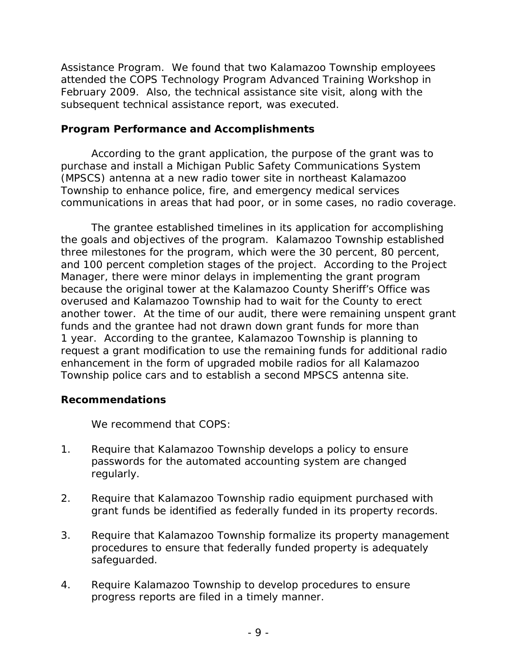Assistance Program. We found that two Kalamazoo Township employees attended the COPS Technology Program Advanced Training Workshop in February 2009. Also, the technical assistance site visit, along with the subsequent technical assistance report, was executed.

## **Program Performance and Accomplishments**

According to the grant application, the purpose of the grant was to purchase and install a Michigan Public Safety Communications System (MPSCS) antenna at a new radio tower site in northeast Kalamazoo Township to enhance police, fire, and emergency medical services communications in areas that had poor, or in some cases, no radio coverage.

The grantee established timelines in its application for accomplishing the goals and objectives of the program. Kalamazoo Township established three milestones for the program, which were the 30 percent, 80 percent, and 100 percent completion stages of the project. According to the Project Manager, there were minor delays in implementing the grant program because the original tower at the Kalamazoo County Sheriff's Office was overused and Kalamazoo Township had to wait for the County to erect another tower. At the time of our audit, there were remaining unspent grant funds and the grantee had not drawn down grant funds for more than 1 year. According to the grantee, Kalamazoo Township is planning to request a grant modification to use the remaining funds for additional radio enhancement in the form of upgraded mobile radios for all Kalamazoo Township police cars and to establish a second MPSCS antenna site.

## **Recommendations**

We recommend that COPS:

- 1. Require that Kalamazoo Township develops a policy to ensure passwords for the automated accounting system are changed regularly.
- 2. Require that Kalamazoo Township radio equipment purchased with grant funds be identified as federally funded in its property records.
- 3. Require that Kalamazoo Township formalize its property management procedures to ensure that federally funded property is adequately safeguarded.
- 4. Require Kalamazoo Township to develop procedures to ensure progress reports are filed in a timely manner.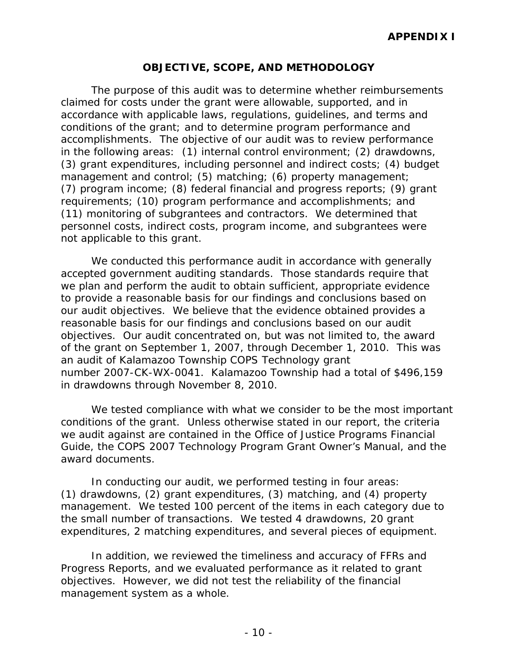## **OBJECTIVE, SCOPE, AND METHODOLOGY**

The purpose of this audit was to determine whether reimbursements claimed for costs under the grant were allowable, supported, and in accordance with applicable laws, regulations, guidelines, and terms and conditions of the grant; and to determine program performance and accomplishments. The objective of our audit was to review performance in the following areas: (1) internal control environment; (2) drawdowns, (3) grant expenditures, including personnel and indirect costs; (4) budget management and control; (5) matching; (6) property management; (7) program income; (8) federal financial and progress reports; (9) grant requirements; (10) program performance and accomplishments; and (11) monitoring of subgrantees and contractors. We determined that personnel costs, indirect costs, program income, and subgrantees were not applicable to this grant.

We conducted this performance audit in accordance with generally accepted government auditing standards. Those standards require that we plan and perform the audit to obtain sufficient, appropriate evidence to provide a reasonable basis for our findings and conclusions based on our audit objectives. We believe that the evidence obtained provides a reasonable basis for our findings and conclusions based on our audit objectives. Our audit concentrated on, but was not limited to, the award of the grant on September 1, 2007, through December 1, 2010. This was an audit of Kalamazoo Township COPS Technology grant number 2007-CK-WX-0041. Kalamazoo Township had a total of \$496,159 in drawdowns through November 8, 2010.

We tested compliance with what we consider to be the most important conditions of the grant. Unless otherwise stated in our report, the criteria we audit against are contained in the *Office of Justice Programs Financial Guide*, the *COPS 2007 Technology Program Grant Owner's Manual*, and the award documents.

In conducting our audit, we performed testing in four areas: (1) drawdowns, (2) grant expenditures, (3) matching, and (4) property management. We tested 100 percent of the items in each category due to the small number of transactions. We tested 4 drawdowns, 20 grant expenditures, 2 matching expenditures, and several pieces of equipment.

In addition, we reviewed the timeliness and accuracy of FFRs and Progress Reports, and we evaluated performance as it related to grant objectives. However, we did not test the reliability of the financial management system as a whole.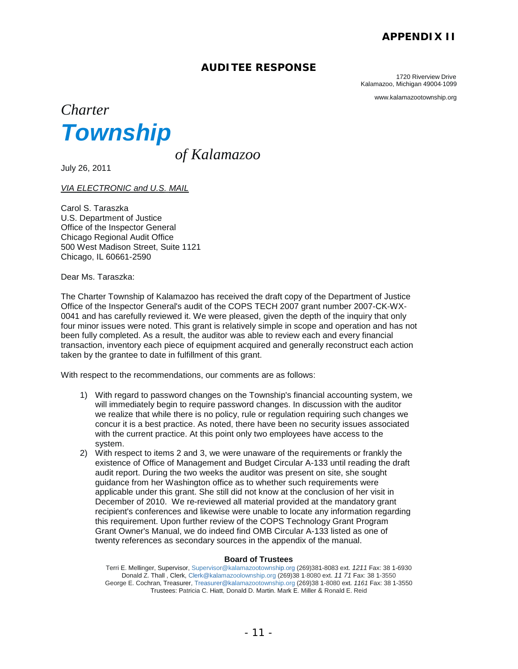## **APPENDIX II**

## **AUDITEE RESPONSE**

1720 Riverview Drive Kalamazoo, Michigan 49004·1099

www.kalamazootownship.org



*of Kalamazoo* 

July 26, 2011

*VIA ELECTRONIC and U.S. MAIL*

Carol S. Taraszka U.S. Department of Justice Office of the Inspector General Chicago Regional Audit Office 500 West Madison Street, Suite 1121 Chicago, IL 60661-2590

Dear Ms. Taraszka:

The Charter Township of Kalamazoo has received the draft copy of the Department of Justice Office of the Inspector General's audit of the COPS TECH 2007 grant number 2007-CK-WX-0041 and has carefully reviewed it. We were pleased, given the depth of the inquiry that only four minor issues were noted. This grant is relatively simple in scope and operation and has not been fully completed. As a result, the auditor was able to review each and every financial transaction, inventory each piece of equipment acquired and generally reconstruct each action taken by the grantee to date in fulfillment of this grant.

With respect to the recommendations, our comments are as follows:

- 1) With regard to password changes on the Township's financial accounting system, we will immediately begin to require password changes. In discussion with the auditor we realize that while there is no policy, rule or regulation requiring such changes we concur it is a best practice. As noted, there have been no security issues associated with the current practice. At this point only two employees have access to the system.
- 2) With respect to items 2 and 3, we were unaware of the requirements or frankly the existence of Office of Management and Budget Circular A-133 until reading the draft audit report. During the two weeks the auditor was present on site, she sought guidance from her Washington office as to whether such requirements were applicable under this grant. She still did not know at the conclusion of her visit in December of 2010. We re-reviewed all material provided at the mandatory grant recipient's conferences and likewise were unable to locate any information regarding this requirement. Upon further review of the COPS Technology Grant Program Grant Owner's Manual, we do indeed find OMB Circular A-133 listed as one of twenty references as secondary sources in the appendix of the manual.

#### **Board of Trustees**

Terri E. Mellinger, Supervisor, Supervisor@kalamazootownship.org (269)381-8083 ext. *1211* Fax: 38 1-6930 Donald Z. Thall , Clerk, Clerk@kalamazoolownship.org (269)38 1·8080 ext. *11 71* Fax: 38 1-3550 George E. Cochran, Treasurer, Treasurer@kalamazootownship.org (269)38 1-8080 ext. *1161* Fax: 38 1-3550 Trustees: Patricia C. Hiatt, Donald D. Martin. Mark E. Miller & Ronald E. Reid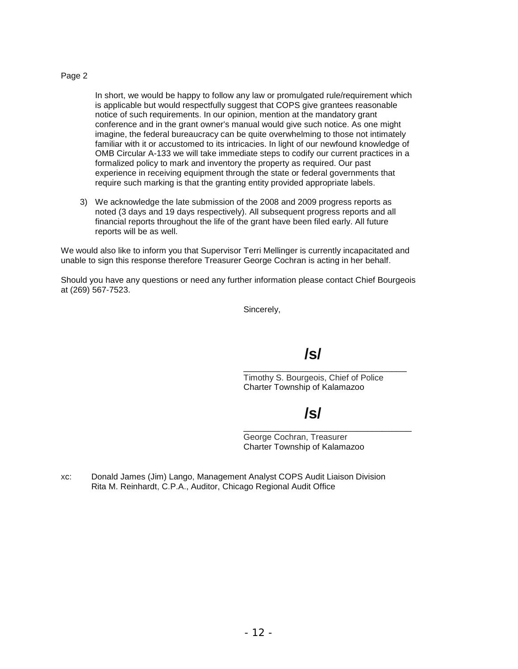#### Page 2

In short, we would be happy to follow any law or promulgated rule/requirement which is applicable but would respectfully suggest that COPS give grantees reasonable notice of such requirements. In our opinion, mention at the mandatory grant conference and in the grant owner's manual would give such notice. As one might imagine, the federal bureaucracy can be quite overwhelming to those not intimately familiar with it or accustomed to its intricacies. In light of our newfound knowledge of OMB Circular A-133 we will take immediate steps to codify our current practices in a formalized policy to mark and inventory the property as required. Our past experience in receiving equipment through the state or federal governments that require such marking is that the granting entity provided appropriate labels.

3) We acknowledge the late submission of the 2008 and 2009 progress reports as noted (3 days and 19 days respectively). All subsequent progress reports and all financial reports throughout the life of the grant have been filed early. All future reports will be as well.

We would also like to inform you that Supervisor Terri Mellinger is currently incapacitated and unable to sign this response therefore Treasurer George Cochran is acting in her behalf.

Should you have any questions or need any further information please contact Chief Bourgeois at (269) 567-7523.

Sincerely,

# **/s/**

\_\_\_\_\_\_\_\_\_\_\_\_\_\_\_\_\_\_\_\_\_\_\_\_\_\_\_\_\_\_\_\_\_ Timothy S. Bourgeois, Chief of Police Charter Township of Kalamazoo

# **/s/**

\_\_\_\_\_\_\_\_\_\_\_\_\_\_\_\_\_\_\_\_\_\_\_\_\_\_\_\_\_\_\_\_\_\_ George Cochran, Treasurer Charter Township of Kalamazoo

xc: Donald James (Jim) Lango, Management Analyst COPS Audit Liaison Division Rita M. Reinhardt, C.P.A., Auditor, Chicago Regional Audit Office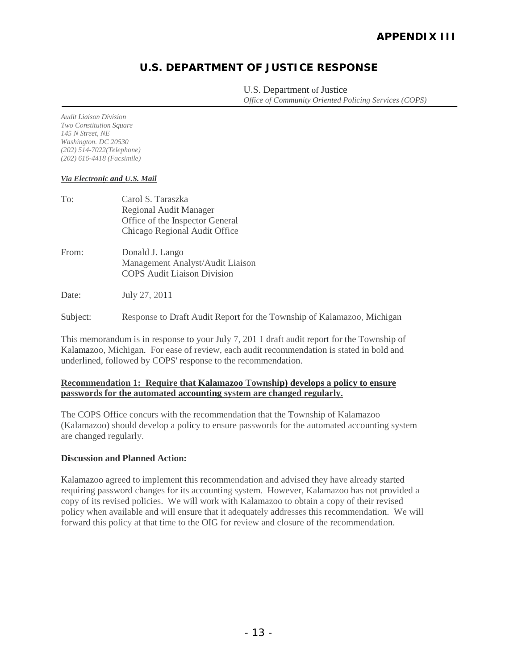# **U.S. DEPARTMENT OF JUSTICE RESPONSE**

U.S. Department of Justice *Office of Community Oriented Policing Services (COPS)*

*Audit Liaison Division Two Constitution Square 145 N Street, NE Washington. DC 20530 (202) 514-7022(Telephone) (202) 616-4418 (Facsimile)*

#### *Via Electronic and U.S. Mail*

| To:   | Carol S. Taraszka<br>Regional Audit Manager<br>Office of the Inspector General<br>Chicago Regional Audit Office |
|-------|-----------------------------------------------------------------------------------------------------------------|
| From: | Donald J. Lango<br>Management Analyst/Audit Liaison<br><b>COPS Audit Liaison Division</b>                       |
| Date: | July 27, 2011                                                                                                   |

Subject: Response to Draft Audit Report for the Township of Kalamazoo, Michigan

This memorandum is in response to your July 7, 201 1 draft audit report for the Township of Kalamazoo, Michigan. For ease of review, each audit recommendation is stated in bold and underlined, followed by COPS' response to the recommendation.

#### **Recommendation 1: Require that Kalamazoo Township) develops a policy to ensure passwords for the automated accounting system are changed regularly.**

The COPS Office concurs with the recommendation that the Township of Kalamazoo (Kalamazoo) should develop a policy to ensure passwords for the automated accounting system are changed regularly.

## **Discussion and Planned Action:**

Kalamazoo agreed to implement this recommendation and advised they have already started requiring password changes for its accounting system. However, Kalamazoo has not provided a copy of its revised policies. We will work with Kalamazoo to obtain a copy of their revised policy when available and will ensure that it adequately addresses this recommendation. We will forward this policy at that time to the OIG for review and closure of the recommendation.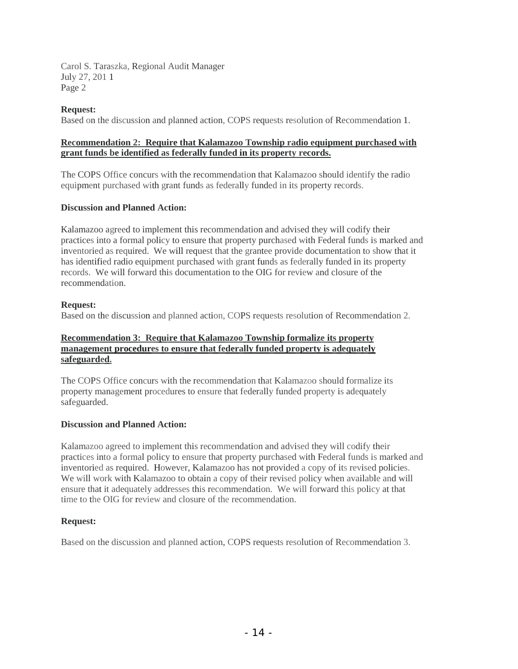Carol S. Taraszka, Regional Audit Manager July 27, 201 1 Page 2

#### **Request:**

Based on the discussion and planned action, COPS requests resolution of Recommendation 1.

#### **Recommendation 2: Require that Kalamazoo Township radio equipment purchased with grant funds be identified as federally funded in its property records.**

The COPS Office concurs with the recommendation that Kalamazoo should identify the radio equipment purchased with grant funds as federally funded in its property records.

#### **Discussion and Planned Action:**

Kalamazoo agreed to implement this recommendation and advised they will codify their practices into a formal policy to ensure that property purchased with Federal funds is marked and inventoried as required. We will request that the grantee provide documentation to show that it has identified radio equipment purchased with grant funds as federally funded in its property records. We will forward this documentation to the OIG for review and closure of the recommendation.

#### **Request:**

Based on the discussion and planned action, COPS requests resolution of Recommendation 2.

#### **Recommendation 3: Require that Kalamazoo Township formalize its property management procedures to ensure that federally funded property is adequately safeguarded.**

The COPS Office concurs with the recommendation that Kalamazoo should formalize its property management procedures to ensure that federally funded property is adequately safeguarded.

## **Discussion and Planned Action:**

Kalamazoo agreed to implement this recommendation and advised they will codify their practices into a formal policy to ensure that property purchased with Federal funds is marked and inventoried as required. However, Kalamazoo has not provided a copy of its revised policies. We will work with Kalamazoo to obtain a copy of their revised policy when available and will ensure that it adequately addresses this recommendation. We will forward this policy at that time to the OIG for review and closure of the recommendation.

## **Request:**

Based on the discussion and planned action, COPS requests resolution of Recommendation 3.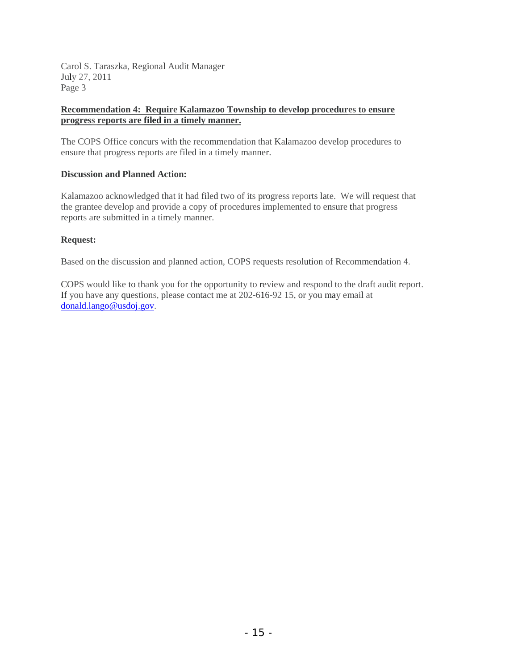Carol S. Taraszka, Regional Audit Manager July 27, 2011 Page 3

#### **Recommendation 4: Require Kalamazoo Township to develop procedures to ensure progress reports are filed in a timely manner.**

The COPS Office concurs with the recommendation that Kalamazoo develop procedures to ensure that progress reports are filed in a timely manner.

#### **Discussion and Planned Action:**

Kalamazoo acknowledged that it had filed two of its progress reports late. We will request that the grantee develop and provide a copy of procedures implemented to ensure that progress reports are submitted in a timely manner.

#### **Request:**

Based on the discussion and planned action, COPS requests resolution of Recommendation 4.

COPS would like to thank you for the opportunity to review and respond to the draft audit report. If you have any questions, please contact me at 202-616-92 15, or you may email at [donald.lango@usdoj.gov.](mailto:donald.lango@usdoj.gov)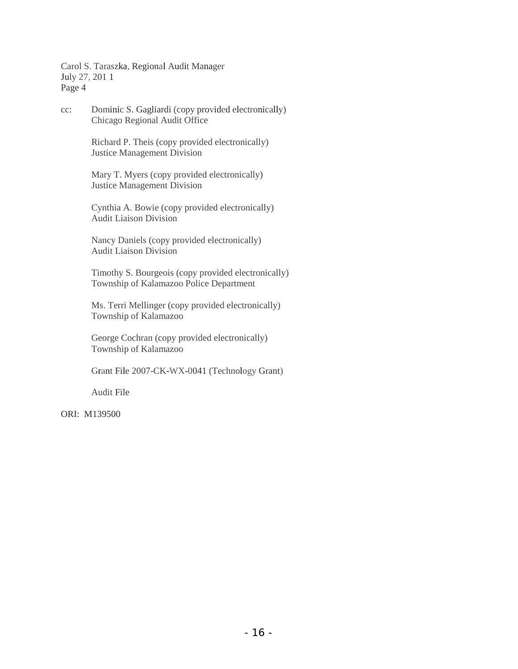Carol S. Taraszka, Regional Audit Manager July 27, 201 1 Page 4

cc: Dominic S. Gagliardi (copy provided electronically) Chicago Regional Audit Office

> Richard P. Theis (copy provided electronically) Justice Management Division

Mary T. Myers (copy provided electronically) Justice Management Division

Cynthia A. Bowie (copy provided electronically) Audit Liaison Division

Nancy Daniels (copy provided electronically) Audit Liaison Division

Timothy S. Bourgeois (copy provided electronically) Township of Kalamazoo Police Department

Ms. Terri Mellinger (copy provided electronically) Township of Kalamazoo

George Cochran (copy provided electronically) Township of Kalamazoo

Grant File 2007-CK-WX-0041 (Technology Grant)

Audit File

ORI: M139500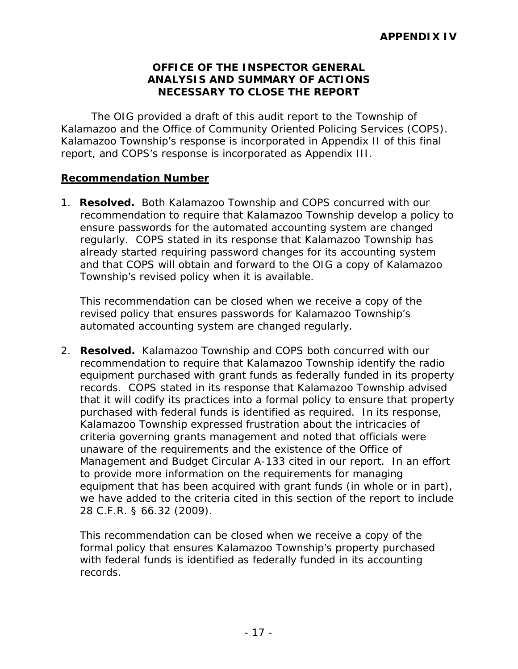## **OFFICE OF THE INSPECTOR GENERAL ANALYSIS AND SUMMARY OF ACTIONS NECESSARY TO CLOSE THE REPORT**

The OIG provided a draft of this audit report to the Township of Kalamazoo and the Office of Community Oriented Policing Services (COPS). Kalamazoo Township's response is incorporated in Appendix II of this final report, and COPS's response is incorporated as Appendix III.

## **Recommendation Number**

1. **Resolved.** Both Kalamazoo Township and COPS concurred with our recommendation to require that Kalamazoo Township develop a policy to ensure passwords for the automated accounting system are changed regularly. COPS stated in its response that Kalamazoo Township has already started requiring password changes for its accounting system and that COPS will obtain and forward to the OIG a copy of Kalamazoo Township's revised policy when it is available.

This recommendation can be closed when we receive a copy of the revised policy that ensures passwords for Kalamazoo Township's automated accounting system are changed regularly.

2. **Resolved.** Kalamazoo Township and COPS both concurred with our recommendation to require that Kalamazoo Township identify the radio equipment purchased with grant funds as federally funded in its property records. COPS stated in its response that Kalamazoo Township advised that it will codify its practices into a formal policy to ensure that property purchased with federal funds is identified as required. In its response, Kalamazoo Township expressed frustration about the intricacies of criteria governing grants management and noted that officials were unaware of the requirements and the existence of the Office of Management and Budget Circular A-133 cited in our report. In an effort to provide more information on the requirements for managing equipment that has been acquired with grant funds (in whole or in part), we have added to the criteria cited in this section of the report to include 28 C.F.R. § 66.32 (2009).

This recommendation can be closed when we receive a copy of the formal policy that ensures Kalamazoo Township's property purchased with federal funds is identified as federally funded in its accounting records.